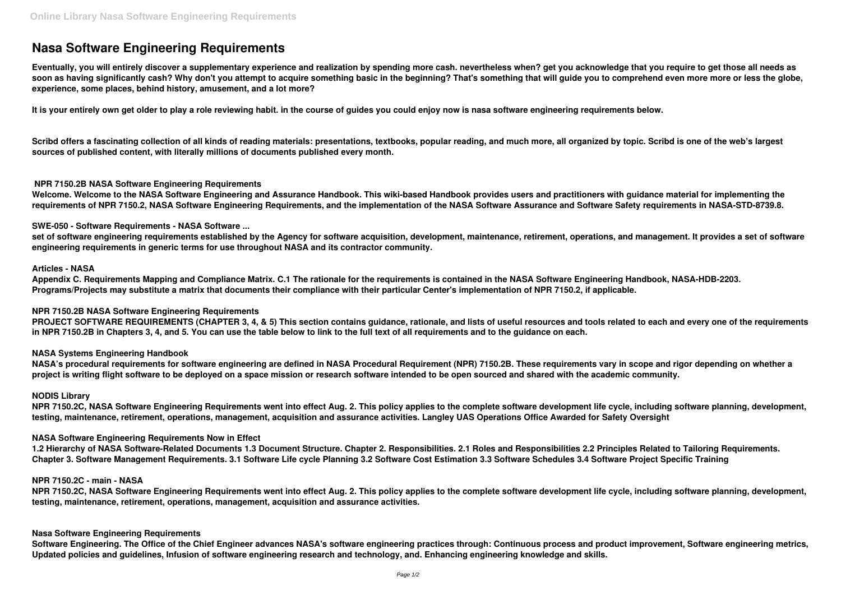# **Nasa Software Engineering Requirements**

**Eventually, you will entirely discover a supplementary experience and realization by spending more cash. nevertheless when? get you acknowledge that you require to get those all needs as soon as having significantly cash? Why don't you attempt to acquire something basic in the beginning? That's something that will guide you to comprehend even more more or less the globe, experience, some places, behind history, amusement, and a lot more?**

It is your entirely own get older to play a role reviewing habit. in the course of guides you could enjoy now is nasa software engineering requirements below.

**Scribd offers a fascinating collection of all kinds of reading materials: presentations, textbooks, popular reading, and much more, all organized by topic. Scribd is one of the web's largest sources of published content, with literally millions of documents published every month.**

# **NPR 7150.2B NASA Software Engineering Requirements**

**Welcome. Welcome to the NASA Software Engineering and Assurance Handbook. This wiki-based Handbook provides users and practitioners with guidance material for implementing the requirements of NPR 7150.2, NASA Software Engineering Requirements, and the implementation of the NASA Software Assurance and Software Safety requirements in NASA-STD-8739.8.**

# **SWE-050 - Software Requirements - NASA Software ...**

**set of software engineering requirements established by the Agency for software acquisition, development, maintenance, retirement, operations, and management. It provides a set of software engineering requirements in generic terms for use throughout NASA and its contractor community.**

## **Articles - NASA**

**Appendix C. Requirements Mapping and Compliance Matrix. C.1 The rationale for the requirements is contained in the NASA Software Engineering Handbook, NASA-HDB-2203. Programs/Projects may substitute a matrix that documents their compliance with their particular Center's implementation of NPR 7150.2, if applicable.**

## **NPR 7150.2B NASA Software Engineering Requirements**

**PROJECT SOFTWARE REQUIREMENTS (CHAPTER 3, 4, & 5) This section contains guidance, rationale, and lists of useful resources and tools related to each and every one of the requirements in NPR 7150.2B in Chapters 3, 4, and 5. You can use the table below to link to the full text of all requirements and to the guidance on each.**

## **NASA Systems Engineering Handbook**

**NASA's procedural requirements for software engineering are defined in NASA Procedural Requirement (NPR) 7150.2B. These requirements vary in scope and rigor depending on whether a project is writing flight software to be deployed on a space mission or research software intended to be open sourced and shared with the academic community.**

## **NODIS Library**

**NPR 7150.2C, NASA Software Engineering Requirements went into effect Aug. 2. This policy applies to the complete software development life cycle, including software planning, development, testing, maintenance, retirement, operations, management, acquisition and assurance activities. Langley UAS Operations Office Awarded for Safety Oversight**

## **NASA Software Engineering Requirements Now in Effect**

**1.2 Hierarchy of NASA Software-Related Documents 1.3 Document Structure. Chapter 2. Responsibilities. 2.1 Roles and Responsibilities 2.2 Principles Related to Tailoring Requirements. Chapter 3. Software Management Requirements. 3.1 Software Life cycle Planning 3.2 Software Cost Estimation 3.3 Software Schedules 3.4 Software Project Specific Training**

## **NPR 7150.2C - main - NASA**

**NPR 7150.2C, NASA Software Engineering Requirements went into effect Aug. 2. This policy applies to the complete software development life cycle, including software planning, development, testing, maintenance, retirement, operations, management, acquisition and assurance activities.**

## **Nasa Software Engineering Requirements**

**Software Engineering. The Office of the Chief Engineer advances NASA's software engineering practices through: Continuous process and product improvement, Software engineering metrics, Updated policies and guidelines, Infusion of software engineering research and technology, and. Enhancing engineering knowledge and skills.**